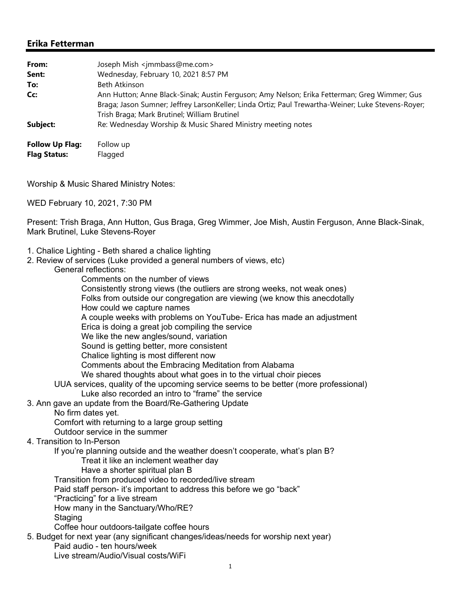## **Erika Fetterman**

| From:                                         | Joseph Mish <jmmbass@me.com></jmmbass@me.com>                                                                                                                                                                                                      |
|-----------------------------------------------|----------------------------------------------------------------------------------------------------------------------------------------------------------------------------------------------------------------------------------------------------|
| Sent:                                         | Wednesday, February 10, 2021 8:57 PM                                                                                                                                                                                                               |
| To:                                           | Beth Atkinson                                                                                                                                                                                                                                      |
| Cc:                                           | Ann Hutton; Anne Black-Sinak; Austin Ferguson; Amy Nelson; Erika Fetterman; Greg Wimmer; Gus<br>Braga; Jason Sumner; Jeffrey LarsonKeller; Linda Ortiz; Paul Trewartha-Weiner; Luke Stevens-Royer;<br>Trish Braga; Mark Brutinel; William Brutinel |
| Subject:                                      | Re: Wednesday Worship & Music Shared Ministry meeting notes                                                                                                                                                                                        |
| <b>Follow Up Flag:</b><br><b>Flag Status:</b> | Follow up<br>Flagged                                                                                                                                                                                                                               |

Worship & Music Shared Ministry Notes:

WED February 10, 2021, 7:30 PM

Present: Trish Braga, Ann Hutton, Gus Braga, Greg Wimmer, Joe Mish, Austin Ferguson, Anne Black-Sinak, Mark Brutinel, Luke Stevens-Royer

- 1. Chalice Lighting Beth shared a chalice lighting
- 2. Review of services (Luke provided a general numbers of views, etc)
	- General reflections:
- Comments on the number of views Consistently strong views (the outliers are strong weeks, not weak ones) Folks from outside our congregation are viewing (we know this anecdotally How could we capture names A couple weeks with problems on YouTube- Erica has made an adjustment Erica is doing a great job compiling the service We like the new angles/sound, variation Sound is getting better, more consistent Chalice lighting is most different now Comments about the Embracing Meditation from Alabama We shared thoughts about what goes in to the virtual choir pieces UUA services, quality of the upcoming service seems to be better (more professional) Luke also recorded an intro to "frame" the service 3. Ann gave an update from the Board/Re-Gathering Update No firm dates yet. Comfort with returning to a large group setting Outdoor service in the summer 4. Transition to In-Person If you're planning outside and the weather doesn't cooperate, what's plan B? Treat it like an inclement weather day Have a shorter spiritual plan B Transition from produced video to recorded/live stream Paid staff person- it's important to address this before we go "back" "Practicing" for a live stream How many in the Sanctuary/Who/RE? **Staging**  Coffee hour outdoors-tailgate coffee hours 5. Budget for next year (any significant changes/ideas/needs for worship next year) Paid audio - ten hours/week

Live stream/Audio/Visual costs/WiFi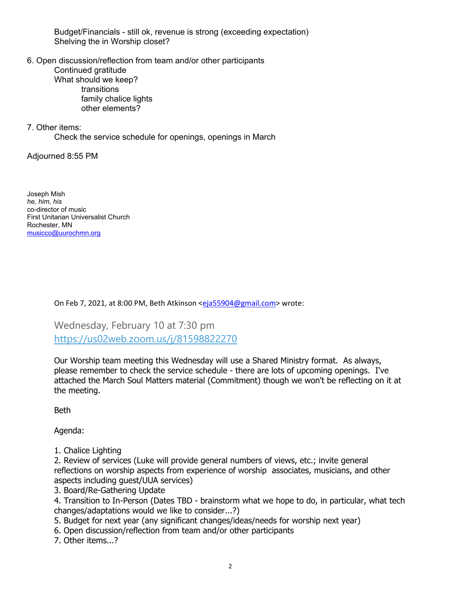Budget/Financials - still ok, revenue is strong (exceeding expectation) Shelving the in Worship closet?

6. Open discussion/reflection from team and/or other participants

 Continued gratitude What should we keep? transitions family chalice lights other elements?

7. Other items:

Check the service schedule for openings, openings in March

Adjourned 8:55 PM

Joseph Mish *he, him, his* co-director of music First Unitarian Universalist Church Rochester, MN musicco@uurochmn.org

On Feb 7, 2021, at 8:00 PM, Beth Atkinson <eja55904@gmail.com> wrote:

Wednesday, February 10 at 7:30 pm https://us02web.zoom.us/j/81598822270

Our Worship team meeting this Wednesday will use a Shared Ministry format. As always, please remember to check the service schedule - there are lots of upcoming openings. I've attached the March Soul Matters material (Commitment) though we won't be reflecting on it at the meeting.

Beth

Agenda:

1. Chalice Lighting

2. Review of services (Luke will provide general numbers of views, etc.; invite general reflections on worship aspects from experience of worship associates, musicians, and other aspects including guest/UUA services)

3. Board/Re-Gathering Update

4. Transition to In-Person (Dates TBD - brainstorm what we hope to do, in particular, what tech changes/adaptations would we like to consider...?)

5. Budget for next year (any significant changes/ideas/needs for worship next year)

6. Open discussion/reflection from team and/or other participants

7. Other items...?